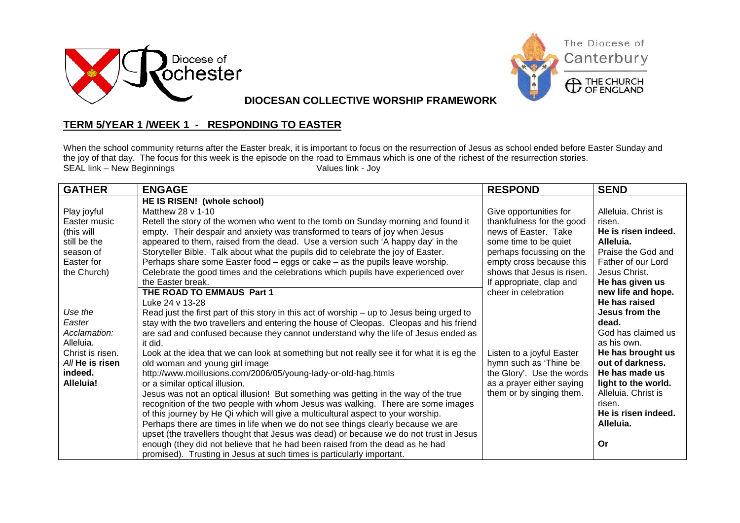



**DIOCESAN COLLECTIVE WORSHIP FRAMEWORK**

## **TERM 5/YEAR 1 /WEEK 1 - RESPONDING TO EASTER**

When the school community returns after the Easter break, it is important to focus on the resurrection of Jesus as school ended before Easter Sunday and the joy of that day. The focus for this week is the episode on the road to Emmaus which is one of the richest of the resurrection stories.<br>SEAL link – New Beginnings  $SEAL$  link - New Beginnings

| <b>GATHER</b>    | <b>ENGAGE</b>                                                                              | <b>RESPOND</b>             | <b>SEND</b>         |
|------------------|--------------------------------------------------------------------------------------------|----------------------------|---------------------|
|                  | HE IS RISEN! (whole school)                                                                |                            |                     |
| Play joyful      | Matthew 28 v 1-10                                                                          | Give opportunities for     | Alleluia. Christ is |
| Easter music     | Retell the story of the women who went to the tomb on Sunday morning and found it          | thankfulness for the good  | risen.              |
| (this will       | empty. Their despair and anxiety was transformed to tears of joy when Jesus                | news of Easter. Take       | He is risen indeed. |
| still be the     | appeared to them, raised from the dead. Use a version such 'A happy day' in the            | some time to be quiet      | Alleluia.           |
| season of        | Storyteller Bible. Talk about what the pupils did to celebrate the joy of Easter.          | perhaps focussing on the   | Praise the God and  |
| Easter for       | Perhaps share some Easter food - eggs or cake - as the pupils leave worship.               | empty cross because this   | Father of our Lord  |
| the Church)      | Celebrate the good times and the celebrations which pupils have experienced over           | shows that Jesus is risen. | Jesus Christ.       |
|                  | the Easter break.                                                                          | If appropriate, clap and   | He has given us     |
|                  | THE ROAD TO EMMAUS Part 1                                                                  | cheer in celebration       | new life and hope.  |
|                  | Luke 24 v 13-28                                                                            |                            | He has raised       |
| Use the          | Read just the first part of this story in this act of worship – up to Jesus being urged to |                            | Jesus from the      |
| Easter           | stay with the two travellers and entering the house of Cleopas. Cleopas and his friend     |                            | dead.               |
| Acclamation:     | are sad and confused because they cannot understand why the life of Jesus ended as         |                            | God has claimed us  |
| Alleluia.        | it did.                                                                                    |                            | as his own.         |
| Christ is risen. | Look at the idea that we can look at something but not really see it for what it is eg the | Listen to a joyful Easter  | He has brought us   |
| All He is risen  | old woman and young girl image                                                             | hymn such as 'Thine be     | out of darkness.    |
| indeed.          | http://www.moillusions.com/2006/05/young-lady-or-old-hag.htmls                             | the Glory'. Use the words  | He has made us      |
| Alleluia!        | or a similar optical illusion.                                                             | as a prayer either saying  | light to the world. |
|                  | Jesus was not an optical illusion! But something was getting in the way of the true        | them or by singing them.   | Alleluia. Christ is |
|                  | recognition of the two people with whom Jesus was walking. There are some images           |                            | risen.              |
|                  | of this journey by He Qi which will give a multicultural aspect to your worship.           |                            | He is risen indeed. |
|                  | Perhaps there are times in life when we do not see things clearly because we are           |                            | Alleluia.           |
|                  | upset (the travellers thought that Jesus was dead) or because we do not trust in Jesus     |                            |                     |
|                  | enough (they did not believe that he had been raised from the dead as he had               |                            | <b>Or</b>           |
|                  | promised). Trusting in Jesus at such times is particularly important.                      |                            |                     |